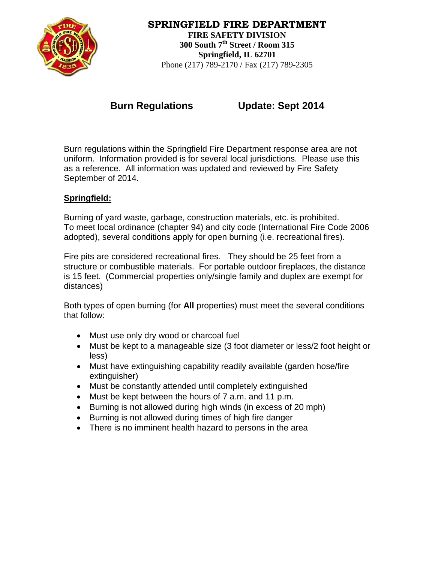

## **SPRINGFIELD FIRE DEPARTMENT FIRE SAFETY DIVISION 300 South 7th Street / Room 315 Springfield, IL 62701**

Phone (217) 789-2170 / Fax (217) 789-2305

**Burn Regulations Update: Sept 2014**

Burn regulations within the Springfield Fire Department response area are not uniform. Information provided is for several local jurisdictions. Please use this as a reference. All information was updated and reviewed by Fire Safety September of 2014.

# **Springfield:**

Burning of yard waste, garbage, construction materials, etc. is prohibited. To meet local ordinance (chapter 94) and city code (International Fire Code 2006 adopted), several conditions apply for open burning (i.e. recreational fires).

Fire pits are considered recreational fires. They should be 25 feet from a structure or combustible materials. For portable outdoor fireplaces, the distance is 15 feet. (Commercial properties only/single family and duplex are exempt for distances)

Both types of open burning (for **All** properties) must meet the several conditions that follow:

- Must use only dry wood or charcoal fuel
- Must be kept to a manageable size (3 foot diameter or less/2 foot height or less)
- Must have extinguishing capability readily available (garden hose/fire extinguisher)
- Must be constantly attended until completely extinguished
- Must be kept between the hours of 7 a.m. and 11 p.m.
- Burning is not allowed during high winds (in excess of 20 mph)
- Burning is not allowed during times of high fire danger
- There is no imminent health hazard to persons in the area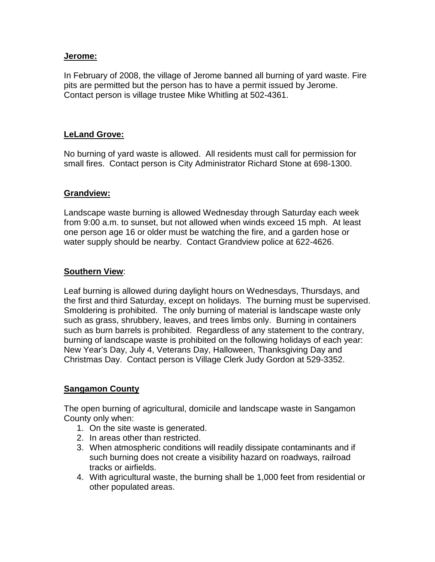#### **Jerome:**

In February of 2008, the village of Jerome banned all burning of yard waste. Fire pits are permitted but the person has to have a permit issued by Jerome. Contact person is village trustee Mike Whitling at 502-4361.

#### **LeLand Grove:**

No burning of yard waste is allowed. All residents must call for permission for small fires. Contact person is City Administrator Richard Stone at 698-1300.

#### **Grandview:**

Landscape waste burning is allowed Wednesday through Saturday each week from 9:00 a.m. to sunset, but not allowed when winds exceed 15 mph. At least one person age 16 or older must be watching the fire, and a garden hose or water supply should be nearby. Contact Grandview police at 622-4626.

#### **Southern View**:

Leaf burning is allowed during daylight hours on Wednesdays, Thursdays, and the first and third Saturday, except on holidays. The burning must be supervised. Smoldering is prohibited. The only burning of material is landscape waste only such as grass, shrubbery, leaves, and trees limbs only. Burning in containers such as burn barrels is prohibited. Regardless of any statement to the contrary, burning of landscape waste is prohibited on the following holidays of each year: New Year's Day, July 4, Veterans Day, Halloween, Thanksgiving Day and Christmas Day. Contact person is Village Clerk Judy Gordon at 529-3352.

### **Sangamon County**

The open burning of agricultural, domicile and landscape waste in Sangamon County only when:

- 1. On the site waste is generated.
- 2. In areas other than restricted.
- 3. When atmospheric conditions will readily dissipate contaminants and if such burning does not create a visibility hazard on roadways, railroad tracks or airfields.
- 4. With agricultural waste, the burning shall be 1,000 feet from residential or other populated areas.